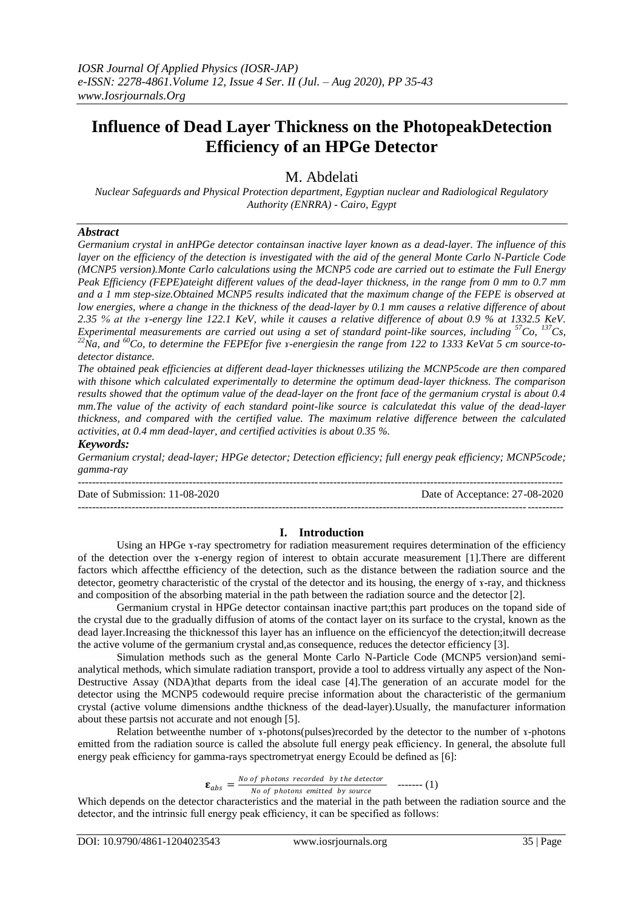# **Influence of Dead Layer Thickness on the PhotopeakDetection Efficiency of an HPGe Detector**

M. Abdelati

*Nuclear Safeguards and Physical Protection department, Egyptian nuclear and Radiological Regulatory Authority (ENRRA) - Cairo, Egypt*

# *Abstract*

*Germanium crystal in anHPGe detector containsan inactive layer known as a dead-layer. The influence of this layer on the efficiency of the detection is investigated with the aid of the general Monte Carlo N-Particle Code (MCNP5 version).Monte Carlo calculations using the MCNP5 code are carried out to estimate the Full Energy Peak Efficiency (FEPE)ateight different values of the dead-layer thickness, in the range from 0 mm to 0.7 mm and a 1 mm step-size.Obtained MCNP5 results indicated that the maximum change of the FEPE is observed at low energies, where a change in the thickness of the dead-layer by 0.1 mm causes a relative difference of about 2.35 % at the ɤ-energy line 122.1 KeV, while it causes a relative difference of about 0.9 % at 1332.5 KeV. Experimental measurements are carried out using a set of standard point-like sources, including <sup>57</sup>Co, <sup>137</sup>Cs, <sup>22</sup>Na, and <sup>60</sup>Co, to determine the FEPEfor five ɤ-energiesin the range from 122 to 1333 KeVat 5 cm source-todetector distance.* 

*The obtained peak efficiencies at different dead-layer thicknesses utilizing the MCNP5code are then compared with thisone which calculated experimentally to determine the optimum dead-layer thickness. The comparison results showed that the optimum value of the dead-layer on the front face of the germanium crystal is about 0.4 mm.The value of the activity of each standard point-like source is calculatedat this value of the dead-layer thickness, and compared with the certified value. The maximum relative difference between the calculated activities, at 0.4 mm dead-layer, and certified activities is about 0.35 %.*

### *Keywords:*

*Germanium crystal; dead-layer; HPGe detector; Detection efficiency; full energy peak efficiency; MCNP5code; gamma-ray*

Date of Submission: 11-08-2020 Date of Acceptance: 27-08-2020

---------------------------------------------------------------------------------------------------------------------------------------

## **I. Introduction**

---------------------------------------------------------------------------------------------------------------------------------------

Using an HPGe x-ray spectrometry for radiation measurement requires determination of the efficiency of the detection over the *x*-energy region of interest to obtain accurate measurement [1]. There are different factors which affectthe efficiency of the detection, such as the distance between the radiation source and the detector, geometry characteristic of the crystal of the detector and its housing, the energy of ɤ-ray, and thickness and composition of the absorbing material in the path between the radiation source and the detector [2].

Germanium crystal in HPGe detector containsan inactive part;this part produces on the topand side of the crystal due to the gradually diffusion of atoms of the contact layer on its surface to the crystal, known as the dead layer.Increasing the thicknessof this layer has an influence on the efficiencyof the detection;itwill decrease the active volume of the germanium crystal and,as consequence, reduces the detector efficiency [3].

Simulation methods such as the general Monte Carlo N-Particle Code (MCNP5 version)and semianalytical methods, which simulate radiation transport, provide a tool to address virtually any aspect of the Non-Destructive Assay (NDA)that departs from the ideal case [4].The generation of an accurate model for the detector using the MCNP5 codewould require precise information about the characteristic of the germanium crystal (active volume dimensions andthe thickness of the dead-layer).Usually, the manufacturer information about these partsis not accurate and not enough [5].

Relation betweenthe number of ɤ-photons(pulses)recorded by the detector to the number of ɤ-photons emitted from the radiation source is called the absolute full energy peak efficiency. In general, the absolute full energy peak efficiency for gamma-rays spectrometryat energy Ecould be defined as [6]:

> $\mathbf{\varepsilon}_{abs} = \frac{N_o \text{ of photons recorded by the detector}}{N_o \text{ of photons emitted by source}}$  $\frac{h}{b}$  photons retorded by the detector  $h$  ------- (1)

Which depends on the detector characteristics and the material in the path between the radiation source and the detector, and the intrinsic full energy peak efficiency, it can be specified as follows: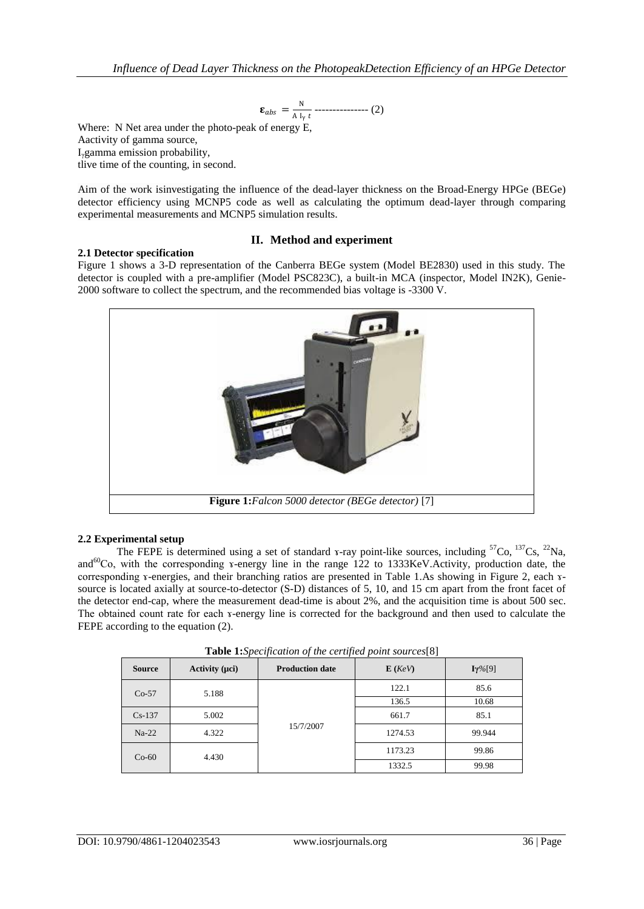$$
\varepsilon_{abs} = \frac{N}{A I_y t} \dots (2)
$$

Where: N Net area under the photo-peak of energy E, Aactivity of gamma source, Iγgamma emission probability, tlive time of the counting, in second.

Aim of the work isinvestigating the influence of the dead-layer thickness on the Broad-Energy HPGe (BEGe) detector efficiency using MCNP5 code as well as calculating the optimum dead-layer through comparing experimental measurements and MCNP5 simulation results.

# **2.1 Detector specification**

## **II. Method and experiment**

Figure 1 shows a 3-D representation of the Canberra BEGe system (Model BE2830) used in this study. The detector is coupled with a pre-amplifier (Model PSC823C), a built-in MCA (inspector, Model IN2K), Genie-2000 software to collect the spectrum, and the recommended bias voltage is -3300 V.



## **2.2 Experimental setup**

The FEPE is determined using a set of standard x-ray point-like sources, including  ${}^{57}Co$ ,  ${}^{137}Cs$ ,  ${}^{22}Na$ , and<sup>60</sup>Co, with the corresponding *x*-energy line in the range 122 to 1333KeV.Activity, production date, the corresponding *x*-energies, and their branching ratios are presented in Table 1.As showing in Figure 2, each *x*source is located axially at source-to-detector (S-D) distances of 5, 10, and 15 cm apart from the front facet of the detector end-cap, where the measurement dead-time is about 2%, and the acquisition time is about 500 sec. The obtained count rate for each *x*-energy line is corrected for the background and then used to calculate the FEPE according to the equation  $(2)$ .

| $\sim$ which is a contracted to the contribution of the contracted of $\sim$ |                              |                        |         |                |
|------------------------------------------------------------------------------|------------------------------|------------------------|---------|----------------|
| <b>Source</b>                                                                | Activity $(\mu c\mathbf{i})$ | <b>Production date</b> | E (KeV) | $I\gamma\%[9]$ |
| $Co-57$                                                                      | 5.188                        | 15/7/2007              | 122.1   | 85.6           |
|                                                                              |                              |                        | 136.5   | 10.68          |
| $Cs-137$                                                                     | 5.002                        |                        | 661.7   | 85.1           |
| $Na-22$                                                                      | 4.322                        |                        | 1274.53 | 99.944         |
| $Co-60$                                                                      | 4.430                        |                        | 1173.23 | 99.86          |
|                                                                              |                              |                        | 1332.5  | 99.98          |

**Table 1:***Specification of the certified point sources*[8]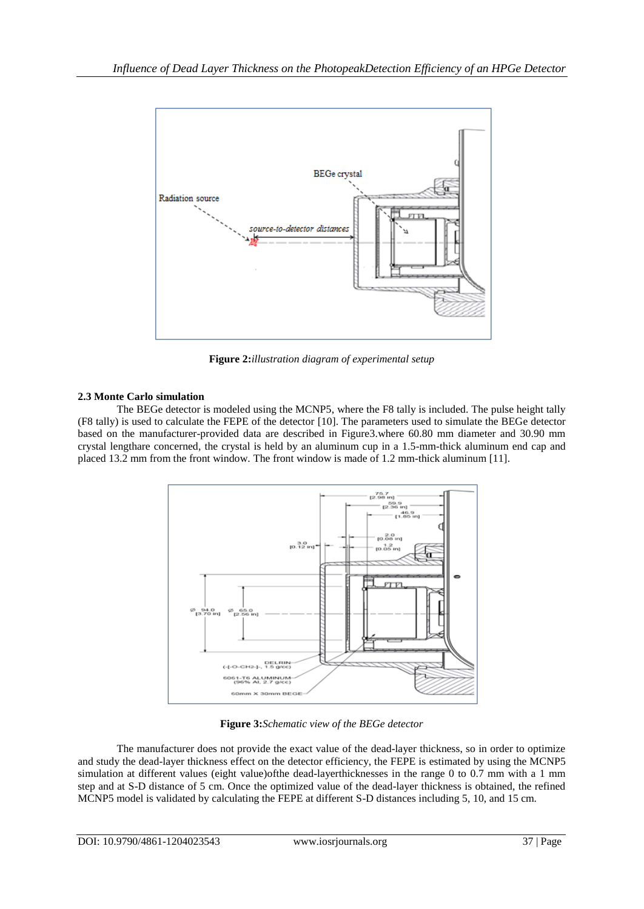

**Figure 2:***illustration diagram of experimental setup*

# **2.3 Monte Carlo simulation**

The BEGe detector is modeled using the MCNP5, where the F8 tally is included. The pulse height tally (F8 tally) is used to calculate the FEPE of the detector [10]. The parameters used to simulate the BEGe detector based on the manufacturer-provided data are described in Figure3.where 60.80 mm diameter and 30.90 mm crystal lengthare concerned, the crystal is held by an aluminum cup in a 1.5-mm-thick aluminum end cap and placed 13.2 mm from the front window. The front window is made of 1.2 mm-thick aluminum [11].



**Figure 3:***Schematic view of the BEGe detector*

The manufacturer does not provide the exact value of the dead-layer thickness, so in order to optimize and study the dead-layer thickness effect on the detector efficiency, the FEPE is estimated by using the MCNP5 simulation at different values (eight value)ofthe dead-layerthicknesses in the range 0 to 0.7 mm with a 1 mm step and at S-D distance of 5 cm. Once the optimized value of the dead-layer thickness is obtained, the refined MCNP5 model is validated by calculating the FEPE at different S-D distances including 5, 10, and 15 cm.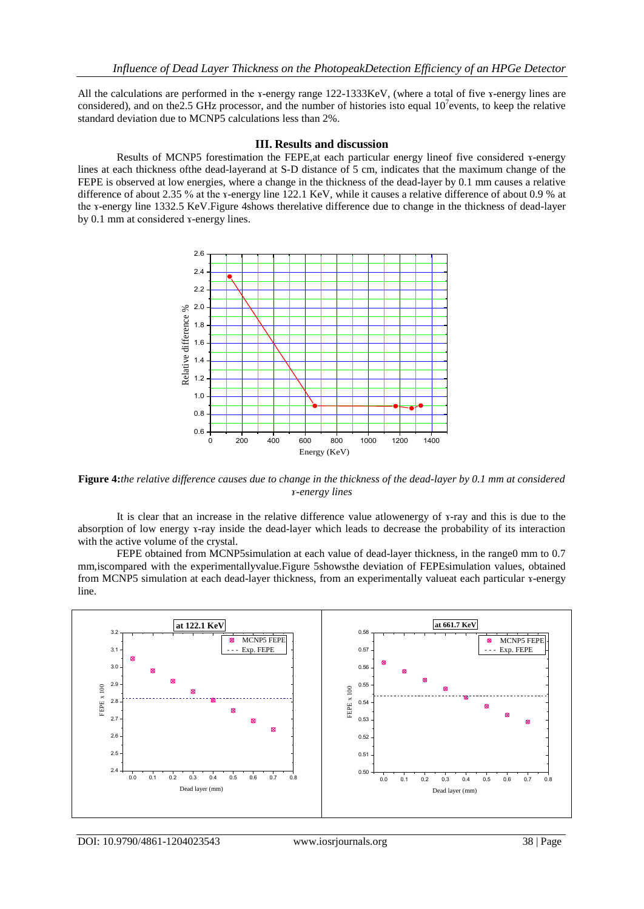All the calculations are performed in the ɤ-energy range 122-1333KeV, (where a total of five ɤ-energy lines are considered), and on the 2.5 GHz processor, and the number of histories isto equal  $10<sup>7</sup>$ events, to keep the relative standard deviation due to MCNP5 calculations less than 2%.

## **III. Results and discussion**

Results of MCNP5 forestimation the FEPE, at each particular energy lineof five considered x-energy lines at each thickness ofthe dead-layerand at S-D distance of 5 cm, indicates that the maximum change of the FEPE is observed at low energies, where a change in the thickness of the dead-layer by 0.1 mm causes a relative difference of about 2.35 % at the ɤ-energy line 122.1 KeV, while it causes a relative difference of about 0.9 % at the ɤ-energy line 1332.5 KeV.Figure 4shows therelative difference due to change in the thickness of dead-layer by 0.1 mm at considered ɤ-energy lines.



**Figure 4:***the relative difference causes due to change in the thickness of the dead-layer by 0.1 mm at considered ɤ-energy lines*

It is clear that an increase in the relative difference value atlowenergy of ɤ-ray and this is due to the absorption of low energy ɤ-ray inside the dead-layer which leads to decrease the probability of its interaction with the active volume of the crystal.

FEPE obtained from MCNP5simulation at each value of dead-layer thickness, in the range0 mm to 0.7 mm,iscompared with the experimentallyvalue.Figure 5showsthe deviation of FEPEsimulation values, obtained from MCNP5 simulation at each dead-layer thickness, from an experimentally valueat each particular *x*-energy line.

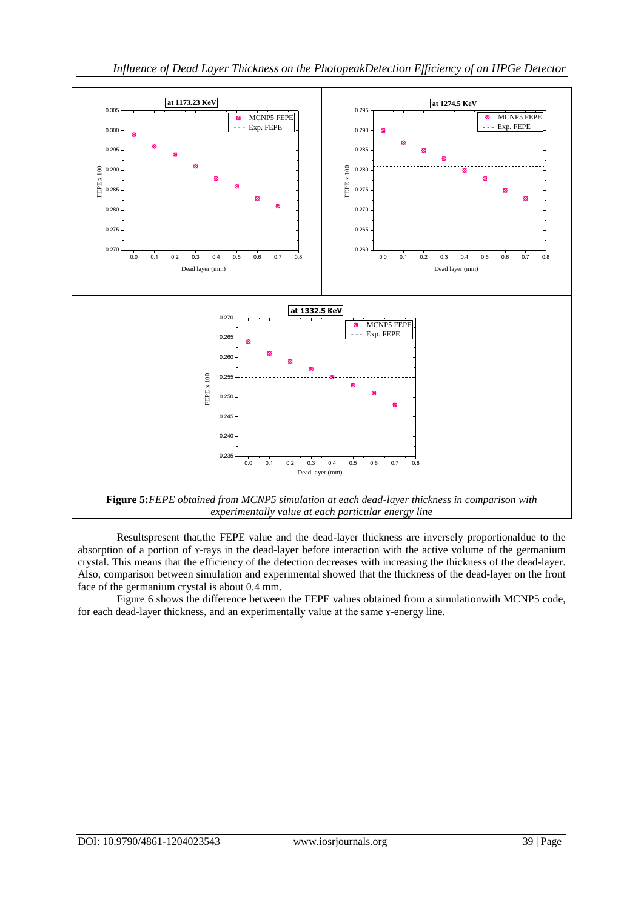

Resultspresent that,the FEPE value and the dead-layer thickness are inversely proportionaldue to the absorption of a portion of x-rays in the dead-layer before interaction with the active volume of the germanium crystal. This means that the efficiency of the detection decreases with increasing the thickness of the dead-layer. Also, comparison between simulation and experimental showed that the thickness of the dead-layer on the front face of the germanium crystal is about 0.4 mm.

Figure 6 shows the difference between the FEPE values obtained from a simulationwith MCNP5 code, for each dead-layer thickness, and an experimentally value at the same *x*-energy line.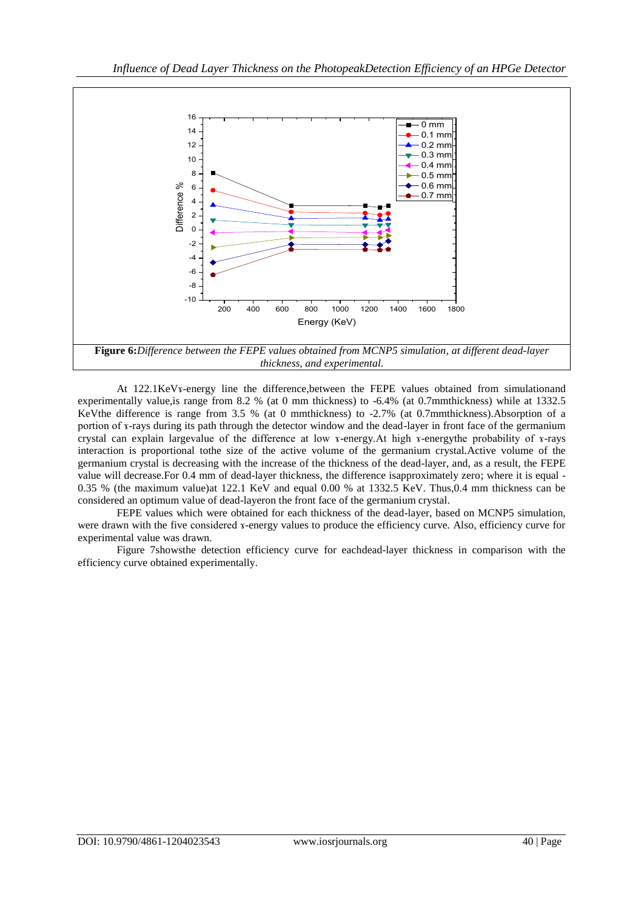

At 122.1KeVs-energy line the difference, between the FEPE values obtained from simulationand experimentally value,is range from 8.2 % (at 0 mm thickness) to -6.4% (at 0.7mmthickness) while at 1332.5 KeVthe difference is range from 3.5 % (at 0 mmthickness) to -2.7% (at 0.7mmthickness).Absorption of a portion of ɤ-rays during its path through the detector window and the dead-layer in front face of the germanium crystal can explain largevalue of the difference at low ɤ-energy.At high ɤ-energythe probability of ɤ-rays interaction is proportional tothe size of the active volume of the germanium crystal.Active volume of the germanium crystal is decreasing with the increase of the thickness of the dead-layer, and, as a result, the FEPE value will decrease.For 0.4 mm of dead-layer thickness, the difference isapproximately zero; where it is equal - 0.35 % (the maximum value)at 122.1 KeV and equal 0.00 % at 1332.5 KeV. Thus,0.4 mm thickness can be considered an optimum value of dead-layeron the front face of the germanium crystal.

FEPE values which were obtained for each thickness of the dead-layer, based on MCNP5 simulation, were drawn with the five considered x-energy values to produce the efficiency curve. Also, efficiency curve for experimental value was drawn.

Figure 7showsthe detection efficiency curve for eachdead-layer thickness in comparison with the efficiency curve obtained experimentally.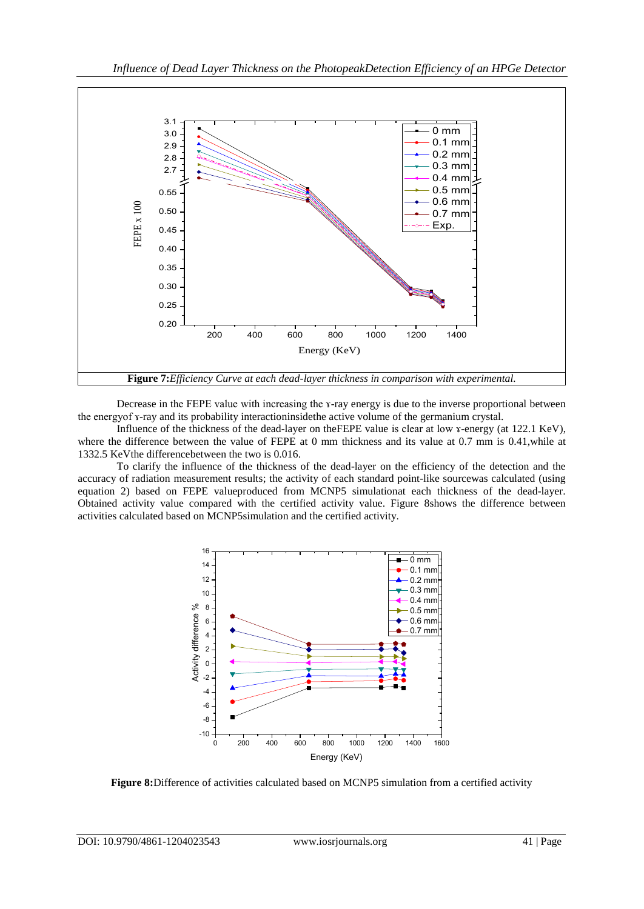

Decrease in the FEPE value with increasing the x-ray energy is due to the inverse proportional between the energyof ɤ-ray and its probability interactioninsidethe active volume of the germanium crystal.

Influence of the thickness of the dead-layer on theFEPE value is clear at low ɤ-energy (at 122.1 KeV), where the difference between the value of FEPE at 0 mm thickness and its value at 0.7 mm is 0.41,while at 1332.5 KeVthe differencebetween the two is 0.016.

To clarify the influence of the thickness of the dead-layer on the efficiency of the detection and the accuracy of radiation measurement results; the activity of each standard point-like sourcewas calculated (using equation 2) based on FEPE valueproduced from MCNP5 simulationat each thickness of the dead-layer. Obtained activity value compared with the certified activity value. Figure 8shows the difference between activities calculated based on MCNP5simulation and the certified activity.



**Figure 8:**Difference of activities calculated based on MCNP5 simulation from a certified activity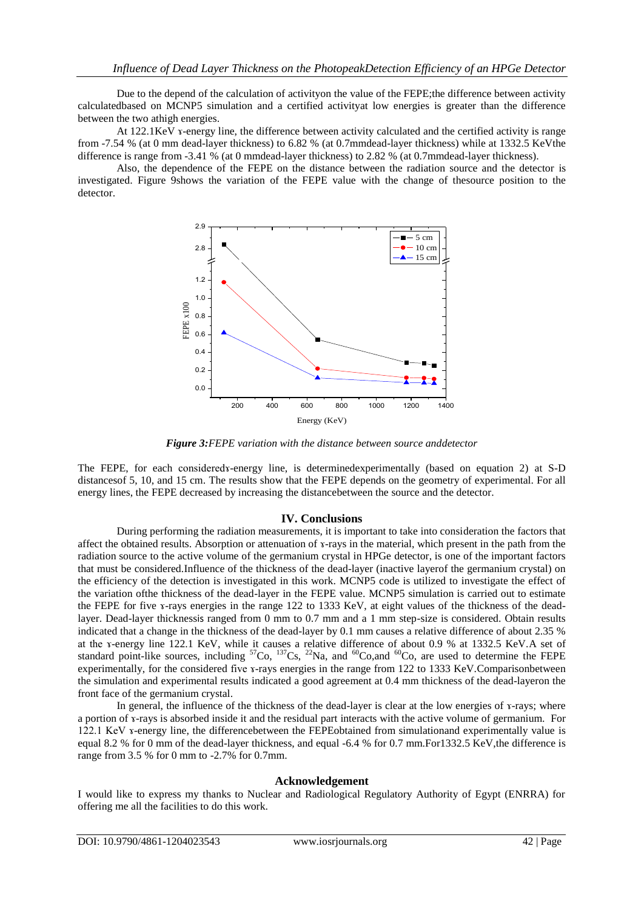Due to the depend of the calculation of activityon the value of the FEPE;the difference between activity calculatedbased on MCNP5 simulation and a certified activityat low energies is greater than the difference between the two athigh energies.

At 122.1KeV x-energy line, the difference between activity calculated and the certified activity is range from -7.54 % (at 0 mm dead-layer thickness) to 6.82 % (at 0.7mmdead-layer thickness) while at 1332.5 KeVthe difference is range from -3.41 % (at 0 mmdead-layer thickness) to 2.82 % (at 0.7mmdead-layer thickness).

Also, the dependence of the FEPE on the distance between the radiation source and the detector is investigated. Figure 9shows the variation of the FEPE value with the change of thesource position to the detector.



*Figure 3:FEPE variation with the distance between source anddetector* 

The FEPE, for each consideredx-energy line, is determinedexperimentally (based on equation 2) at S-D distancesof 5, 10, and 15 cm. The results show that the FEPE depends on the geometry of experimental. For all energy lines, the FEPE decreased by increasing the distancebetween the source and the detector.

### **IV. Conclusions**

During performing the radiation measurements, it is important to take into consideration the factors that affect the obtained results. Absorption or attenuation of ɤ-rays in the material, which present in the path from the radiation source to the active volume of the germanium crystal in HPGe detector, is one of the important factors that must be considered.Influence of the thickness of the dead-layer (inactive layerof the germanium crystal) on the efficiency of the detection is investigated in this work. MCNP5 code is utilized to investigate the effect of the variation ofthe thickness of the dead-layer in the FEPE value. MCNP5 simulation is carried out to estimate the FEPE for five *x*-rays energies in the range 122 to 1333 KeV, at eight values of the thickness of the deadlayer. Dead-layer thicknessis ranged from 0 mm to 0.7 mm and a 1 mm step-size is considered. Obtain results indicated that a change in the thickness of the dead-layer by 0.1 mm causes a relative difference of about 2.35 % at the x-energy line 122.1 KeV, while it causes a relative difference of about 0.9 % at 1332.5 KeV.A set of standard point-like sources, including  ${}^{57}Co$ ,  ${}^{137}Cs$ ,  ${}^{22}Na$ , and  ${}^{60}Co$ , and  ${}^{60}Co$ , are used to determine the FEPE experimentally, for the considered five x-rays energies in the range from 122 to 1333 KeV.Comparisonbetween the simulation and experimental results indicated a good agreement at 0.4 mm thickness of the dead-layeron the front face of the germanium crystal.

In general, the influence of the thickness of the dead-layer is clear at the low energies of x-rays; where a portion of ɤ-rays is absorbed inside it and the residual part interacts with the active volume of germanium. For 122.1 KeV x-energy line, the differencebetween the FEPEobtained from simulationand experimentally value is equal 8.2 % for 0 mm of the dead-layer thickness, and equal -6.4 % for 0.7 mm.For1332.5 KeV,the difference is range from 3.5 % for 0 mm to -2.7% for 0.7mm.

### **Acknowledgement**

I would like to express my thanks to Nuclear and Radiological Regulatory Authority of Egypt (ENRRA) for offering me all the facilities to do this work.